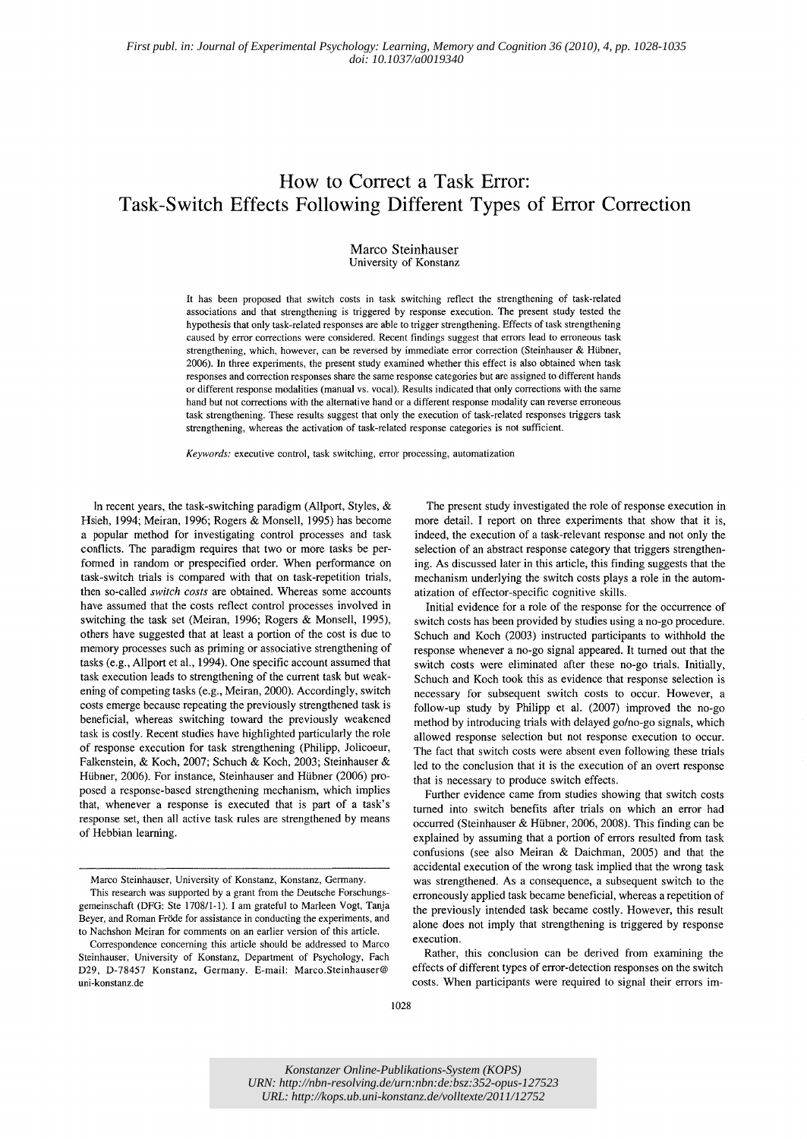# **How to Correct a Task Error: Task-Switch Effects Following Different Types of Error Correction**

Marco Steinhauser University of Konstanz

It has been proposed that switch costs in task switching reflect the strengthening of task-related associations and that strengthening is triggered by response execution. The present study tested the hypothesis that only task-related responses are able to trigger strengthening. Effects of task strengthening caused by error corrections were considered. Recent findings suggest that errors lead to erroneous task strengthening, which, however, can be reversed by immediate error correction (Steinhauser & Hübner, 2006). In three experiments, the present study examined whether this effect is also obtained when task responses and correction responses share the same response categories but are assigned to different hands or different response modalities (manual vs. vocal). Results indicated that only corrections with the same hand but not corrections with the alternative hand or a different response modality can reverse erroneous task strengthening. These results suggest that only the execution of task-related responses triggers task strengthening, whereas the activation of task-related response categories is not sufficient.

*Keywords:* executive control, task switching, error processing, automatization

In recent years, the task-switching paradigm (Allport, Styles,  $\&$ Hsieh, 1994; Meiran, 1996; Rogers & Monsell, 1995) has become a popular method for investigating control processes and task conflicts. The paradigm requires that two or more tasks be perfonned in random or prespecified order. When performance on task-switch trials is compared with that on task-repetition trials, then so-called *switch costs* are obtained. Whereas some accounts have assumed that the costs reflect control processes involved in switching the task set (Meiran, 1996; Rogers & Monsell, 1995), others have suggested that at least a portion of the cost is due to memory processes such as priming or associative strengthening of tasks (e.g., Allport et aI., 1994). One specific account assumed that task execution leads to strengthening of the current task but weakening of competing tasks (e.g., Meiran, 2000). Accordingly, switch costs emerge because repeating the previously strengthened task is beneficial, whereas switching toward the previously weakened task is costly. Recent studies have highlighted particularly the role of response execution for task strengthening (Philipp, Jolicoeur, Falkenstein, & Koch, 2007; Schuch & Koch, 2003; Steinhauser & Hübner, 2006). For instance, Steinhauser and Hübner (2006) proposed a response-based strengthening mechanism, which implies that, whenever a response is executed that is part of a task's response set, then all active task rules are strengthened by means of Hebbian learning.

Marco Steinhauser, University of Konstanz, Konstanz, Germany.

This research was supported by a grant from the Deutsche Forschungsgemeinschaft (DFG: Ste 170811-1). I am grateful to Marleen Vogt, Tanja Beyer, and Roman Fröde for assistance in conducting the experiments, and to Nachshon Meiran for comments on an earlier version of this article.

The present study investigated the role of response execution in more detail. I report on three experiments that show that it is, indeed, the execution of a task-relevant response and not only the selection of an abstract response category that triggers strengthening. As discussed later in this article, this finding suggests that the mechanism underlying the switch costs plays a role in the automatization of effector-specific cognitive skills.

Initial evidence for a role of the response for the occurrence of switch costs has been provided by studies using a no-go procedure. Schuch and Koch (2003) instructed participants to withhold the response whenever a no-go signal appeared. It turned out that the switch costs were eliminated after these no-go trials. Initially, Schuch and Koch took this as evidence that response selection is necessary for subsequent switch costs to occur. However, a follow-up study by Philipp et al. (2007) improved the no-go method by introducing trials with delayed go/no-go signals, which allowed response selection but not response execution to occur. The fact that switch costs were absent even following these trials led to the conclusion that it is the execution of an overt response that is necessary to produce switch effects.

Further evidence came from studies showing that switch costs turned into switch benefits after trials on which an error had occurred (Steinhauser & Hübner, 2006, 2008). This finding can be explained by assuming that a portion of errors resulted from task confusions (see also Meiran & Daichman, 2005) and that the accidental execution of the wrong task implied that the wrong task was strengthened. As a consequence, a subsequent switch to the erroneously applied task became beneficial, whereas a repetition of the previously intended task became costly. However, this result alone does not imply that strengthening is triggered by response execution.

Rather, this conclusion can be derived from examining the effects of different types of error-detection responses on the switch costs. When participants were required to signal their errors im-

*Konstanzer Online-Publikations-System (KOPS) URN: <http://nbn-resolving.de/urn:nbn:de:bsz:352-opus-127523> URL: http://kops.ub.uni-konstanz.de/volltexte/2011/12752*

Correspondence concerning this article should be addressed to Marco Steinhauser, University of Konstanz, Department of Psychology, Fach D29, D-78457 Konstanz, Germany. E-mail: Marco.Steinhauser@ uni-konstanz.de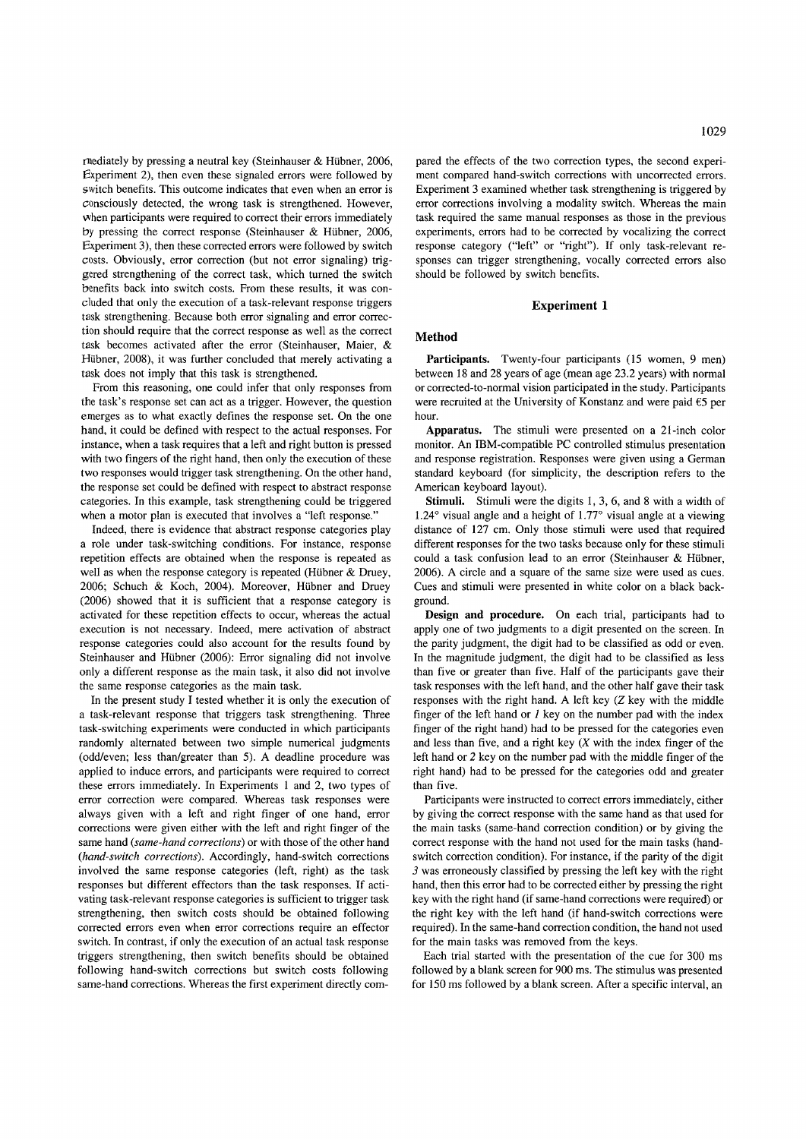rnediately by pressing a neutral key (Steinhauser & Hübner, 2006, Experiment 2), then even these signaled errors were followed by switch benefits. This outcome indicates that even when an error is consciously detected, the wrong task is strengthened. However, when participants were required to correct their errors immediately by pressing the correct response (Steinhauser  $&$  Hübner, 2006, Experiment 3), then these corrected errors were followed by switch costs. Obviously, error correction (but not error signaling) triggered strengthening of the correct task, which turned the switch benefits back into switch costs. From these results, it was concluded that only the execution of a task-relevant response triggers task strengthening. Because both error signaling and error correction should require that the correct response as well as the correct task becomes activated after the error (Steinhauser, Maier, & Hübner, 2008), it was further concluded that merely activating a task does not imply that this task is strengthened.

From this reasoning, one could infer that only responses from the task's response set can act as a trigger. However, the question emerges as to what exactly defines the response set. On the one hand, it could be defined with respect to the actual responses. For instance, when a task requires that a left and right button is pressed with two fingers of the right hand, then only the execution of these two responses would trigger task strengthening. On the other hand, the response set could be defined with respect to abstract response categories. In this example, task strengthening could be triggered when a motor plan is executed that involves a "left response."

Indeed, there is evidence that abstract response categories play a role under task-switching conditions. For instance, response repetition effects are obtained when the response is repeated as well as when the response category is repeated (Hübner  $&$  Druey, 2006; Schuch & Koch, 2004). Moreover, Hübner and Druey (2006) showed that it is sufficient that a response category is activated for these repetition effects to occur, whereas the actual execution is not necessary. Indeed, mere activation of abstract response categories could also account for the results found by Steinhauser and Hübner (2006): Error signaling did not involve only a different response as the main task, it also did not involve the same response categories as the main task.

In the present study I tested whether it is only the execution of a task-relevant response that triggers task strengthening. Three task-switching experiments were conducted in which participants randomly alternated between two simple numerical judgments (odd/even; less than/greater than 5). A deadline procedure was applied to induce errors, and participants were required to correct these errors immediately. In Experiments I and 2, two types of error correction were compared. Whereas task responses were always given with a left and right finger of one hand, error corrections were given either with the left and right finger of the same hand *(same-hand corrections)* or with those of the other hand *(hand-switch corrections).* Accordingly, hand-switch corrections involved the same response categories (left, right) as the task responses but different effectors than the task responses. If activating task-relevant response categories is sufficient to trigger task strengthening, then switch costs should be obtained following corrected errors even when error corrections require an effector switch. In contrast, if only the execution of an actual task response triggers strengthening, then switch benefits should be obtained following hand-switch corrections but switch costs following same-hand corrections. Whereas the first experiment directly compared the effects of the two correction types, the second experiment compared hand-switch corrections with uncorrected errors. Experiment 3 examined whether task strengthening is triggered by error corrections involving a modality switch. Whereas the main task required the same manual responses as those in the previous experiments, errors had to be corrected by vocalizing the correct response category ("left" or "right"). If only task-relevant responses can trigger strengthening, vocally corrected errors also should be followed by switch benefits.

# **Experiment 1**

#### **Method**

**Participants.** Twenty-four participants (15 women, 9 men) between 18 and 28 years of age (mean age 23.2 years) with normal or corrected-to-normal vision participated in the study. Participants were recruited at the University of Konstanz and were paid £5 per hour.

**Apparatus.** The stimuli were presented on a 21-inch color monitor. An IBM-compatible PC controlled stimulus presentation and response registration. Responses were given using a German standard keyboard (for simplicity, the description refers to the American keyboard layout).

**Stimuli.** Stimuli were the digits 1, 3, 6, and 8 with a width of 1.24 $\degree$  visual angle and a height of 1.77 $\degree$  visual angle at a viewing distance of 127 cm. Only those stimuli were used that required different responses for the two tasks because only for these stimuli could a task confusion lead to an error (Steinhauser & Hübner, 2006). A circle and a square of the same size were used as cues. Cues and stimuli were presented in white color on a black background.

**Design and procedure.** On each trial, participants had to apply one of two judgments to a digit presented on the screen. In the parity judgment, the digit had to be classified as odd or even. In the magnitude judgment, the digit had to be classified as less than five or greater than five. Half of the participants gave their task responses with the left hand, and the other half gave their task responses with the right hand. A left key (Z key with the middle finger of the left hand or  $1$  key on the number pad with the index finger of the right hand) had to be pressed for the categories even and less than five, and a right key  $(X$  with the index finger of the left hand or 2 key on the number pad with the middle finger of the right hand) had to be pressed for the categories odd and greater than five.

Participants were instructed to correct errors immediately, either by giving the correct response with the same hand as that used for the main tasks (same-hand correction condition) or by giving the correct response with the hand not used for the main tasks (handswitch correction condition). For instance, if the parity of the digit 3 was erroneously classified by pressing the left key with the right hand, then this error had to be corrected either by pressing the right key with the right hand (if same-hand corrections were required) or the right key with the left hand (if hand-switch corrections were required). In the same-hand correction condition, the hand not used for the main tasks was removed from the keys.

Each trial started with the presentation of the cue for 300 ms followed by a blank screen for 900 ms. The stimulus was presented for 150 ms followed by a blank screen. After a specific interval, an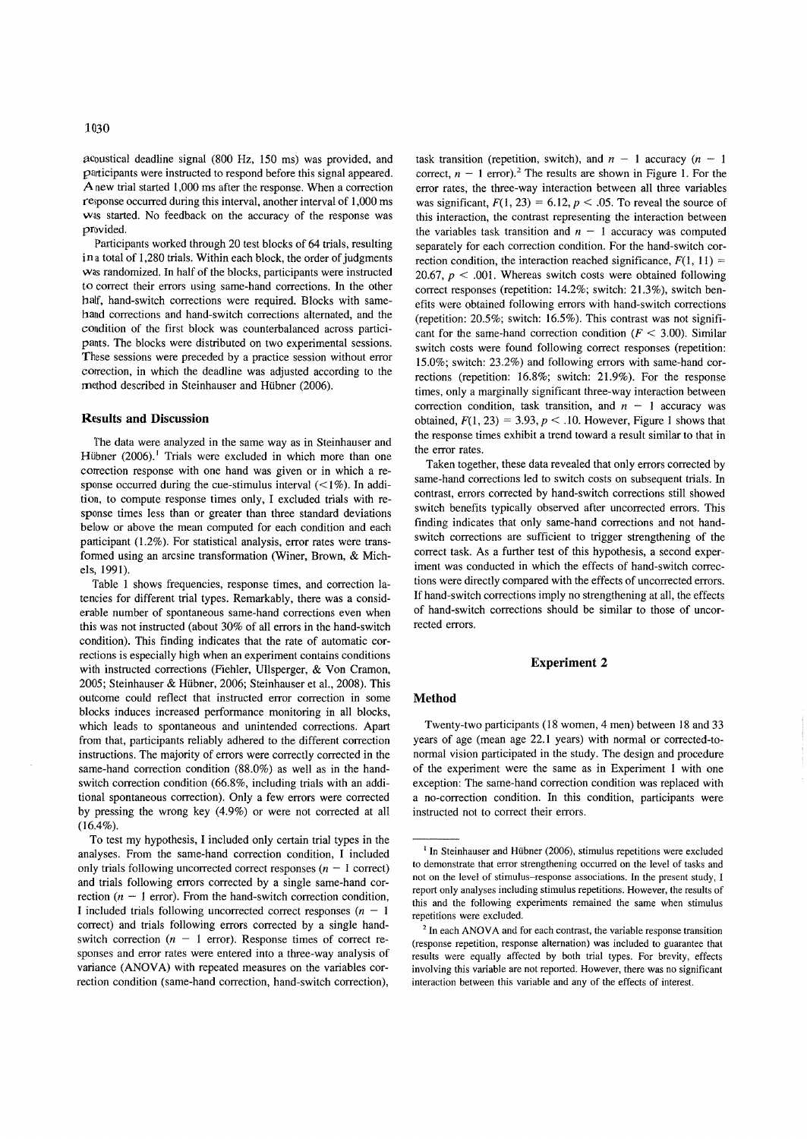~coustical deadline signal (800 Hz, 150 ms) was provided, and participants were instructed to respond before this signal appeared. A new trial started 1,000 ms after the response. When a correction response occurred during this interval, another interval of 1,000 ms was started. No feedback on the accuracy of the response was provided.

Participants worked through 20 test blocks of 64 trials, resulting in a total of 1,280 trials. Within each block, the order of judgments was randomized. In half of the blocks, participants were instructed to correct their errors using same-hand corrections. In the other half, hand-switch corrections were required. Blocks with samehand corrections and hand-switch corrections alternated, and the condition of the first block was counterbalanced across participants. The blocks were distributed on two experimental sessions. These sessions were preceded by a practice session without error correction, in which the deadline was adjusted according to the method described in Steinhauser and Hübner (2006).

# **Results and Discussion**

The data were analyzed in the same way as in Steinhauser and Hübner (2006).<sup>1</sup> Trials were excluded in which more than one correction response with one hand was given or in which a response occurred during the cue-stimulus interval  $($ <1%). In addition, to compute response times only, I excluded trials with response times less than or greater than three standard deviations below or above the mean computed for each condition and each participant (1.2%). For statistical analysis, error rates were transfonned using an arcsine transformation (Winer, Brown, & Michels, 1991).

Table 1 shows frequencies, response times, and correction latencies for different trial types. Remarkably, there was a considerable number of spontaneous same-hand corrections even when this was not instructed (about 30% of all errors in the hand-switch condition). This finding indicates that the rate of automatic corrections is especially high when an experiment contains conditions with instructed corrections (Fiehler, Ullsperger, & Von Cramon, 2005; Steinhauser & Hübner, 2006; Steinhauser et al., 2008). This outcome could reflect that instructed error correction in some blocks induces increased performance monitoring in all blocks, which leads to spontaneous and unintended corrections. Apart from that, participants reliably adhered to the different correction instructions. The majority of errors were correctly corrected in the same-hand correction condition (88.0%) as well as in the handswitch correction condition (66.8%, including trials with an additional spontaneous correction). Only a few errors were corrected by pressing the wrong key (4.9%) or were not corrected at all  $(16.4\%).$ 

To test my hypothesis, I included only certain trial types in the analyses. From the same-hand correction condition, I included only trials following uncorrected correct responses  $(n - 1)$  correct) and trials following errors corrected by a single same-hand correction  $(n - 1$  error). From the hand-switch correction condition, I included trials following uncorrected correct responses  $(n - 1)$ correct) and trials following errors corrected by a single handswitch correction ( $n - 1$  error). Response times of correct responses and error rates were entered into a three-way analysis of variance (ANOVA) with repeated measures on the variables correction condition (same-hand correction, hand-switch correction),

task transition (repetition, switch), and  $n - 1$  accuracy  $(n - 1)$ correct,  $n - 1$  error).<sup>2</sup> The results are shown in Figure 1. For the error rates, the three-way interaction between all three variables was significant,  $F(1, 23) = 6.12$ ,  $p < .05$ . To reveal the source of this interaction, the contrast representing the interaction between the variables task transition and  $n - 1$  accuracy was computed separately for each correction condition. For the hand-switch correction condition, the interaction reached significance,  $F(1, 11) =$ 20.67,  $p < .001$ . Whereas switch costs were obtained following correct responses (repetition: 14.2%; switch: 21.3%), switch benefits were obtained following errors with hand-switch corrections (repetition: 20.5%; switch: 16.5%). This contrast was not significant for the same-hand correction condition ( $F < 3.00$ ). Similar switch costs were found following correct responses (repetition: 15.0%; switch: 23.2%) and following errors with same-hand corrections (repetition: 16.8%; switch: 21.9%). For the response times, only a marginally significant three-way interaction between correction condition, task transition, and  $n - 1$  accuracy was obtained,  $F(1, 23) = 3.93$ ,  $p < .10$ . However, Figure 1 shows that the response times exhibit a trend toward a result similar to that in the error rates.

Taken together, these data revealed that only errors corrected by same-hand corrections led to switch costs on subsequent trials. In contrast, errors corrected by hand-switch corrections still showed switch benefits typically observed after uncorrected errors. This finding indicates that only same-hand corrections and not handswitch corrections are sufficient to trigger strengthening of the correct task. As a further test of this hypothesis, a second experiment was conducted in which the effects of hand-switch corrections were directly compared with the effects of uncorrected errors. If hand-switch corrections imply no strengthening at all, the effects of hand-switch corrections should be similar to those of uncorrected errors.

### **Experiment 2**

#### **Method**

Twenty-two participants (18 women, 4 men) between 18 and 33 years of age (mean age 22.1 years) with normal or corrected-tonormal vision participated in the study. The design and procedure of the experiment were the same as in Experiment 1 with one exception: The same-hand correction condition was replaced with a no-correction condition. In this condition, participants were instructed not to correct their errors.

 $<sup>1</sup>$  In Steinhauser and Hübner (2006), stimulus repetitions were excluded</sup> to demonstrate that error strengthening occurred on the level of tasks and not on the level of stimulus-response associations. In the present study, I report only analyses including stimulus repetitions. However, the results of this and the following experiments remained the same when stimulus repetitions were excluded.

 $2$  In each ANOVA and for each contrast, the variable response transition (response repetition, response alternation) was included to guarantee that results were equally affected by both trial types. For brevity, effects involving this variable are not reported. However, there was no significant interaction between this variable and any of the effects of interest.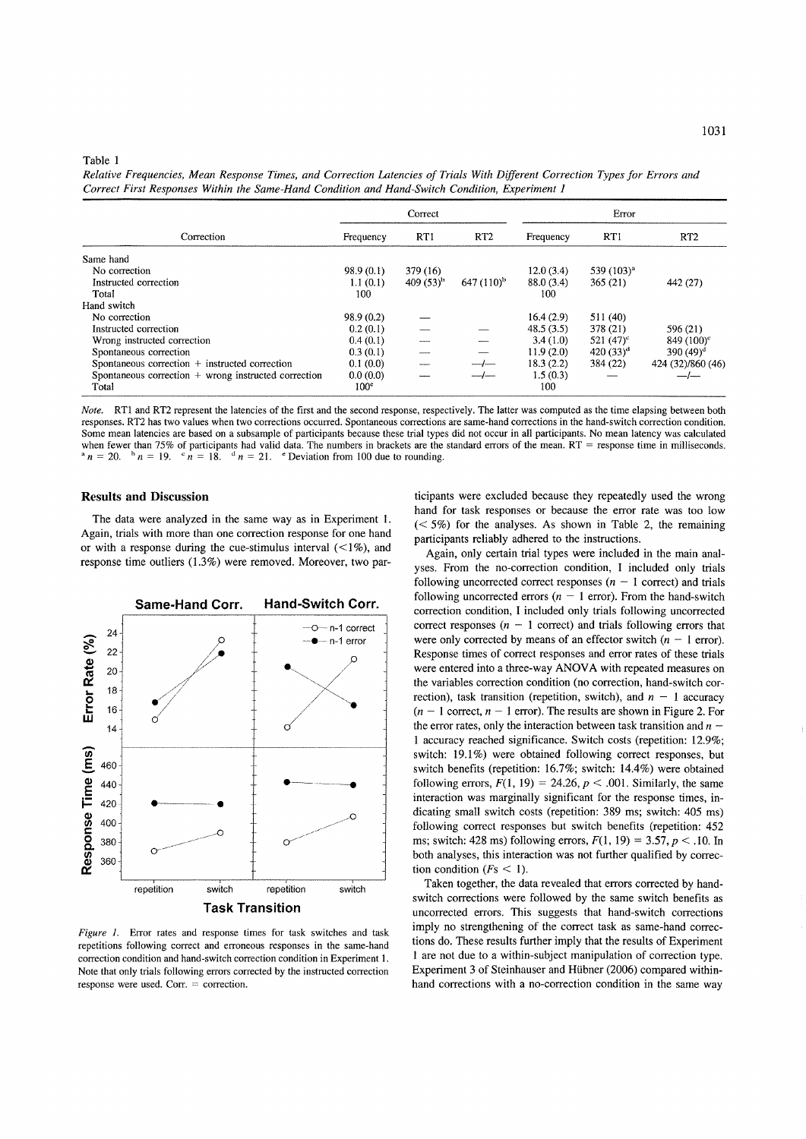## Table 1

*Relative Frequencies, Mean Response Times, and Correction Latencies of Trials With Different Correction Types for Errors and Correct First Responses Within the Same-Hand Condition and Hand-Switch Condition, Experiment 1* 

| Correction                                           | Correct          |                |                 | Error      |                 |                   |
|------------------------------------------------------|------------------|----------------|-----------------|------------|-----------------|-------------------|
|                                                      | Frequency        | RT1            | RT <sub>2</sub> | Frequency  | RT1             | RT <sub>2</sub>   |
| Same hand                                            |                  |                |                 |            |                 |                   |
| No correction                                        | 98.9(0.1)        | 379 (16)       |                 | 12.0(3.4)  | 539 $(103)^{a}$ |                   |
| Instructed correction                                | 1.1(0.1)         | 409 $(53)^{h}$ | $647(110)^b$    | 88.0 (3.4) | 365(21)         | 442 (27)          |
| Total                                                | 100              |                |                 | 100        |                 |                   |
| Hand switch                                          |                  |                |                 |            |                 |                   |
| No correction                                        | 98.9 (0.2)       |                |                 | 16.4(2.9)  | 511(40)         |                   |
| Instructed correction                                | 0.2(0.1)         |                |                 | 48.5(3.5)  | 378 (21)        | 596 (21)          |
| Wrong instructed correction                          | 0.4(0.1)         |                |                 | 3.4(1.0)   | 521 $(47)^c$    | 849 $(100)^c$     |
| Spontaneous correction                               | 0.3(0.1)         |                |                 | 11.9(2.0)  | 420 $(33)^d$    | 390 $(49)^d$      |
| Spontaneous correction + instructed correction       | 0.1(0.0)         |                |                 | 18.3(2.2)  | 384 (22)        | 424 (32)/860 (46) |
| Spontaneous correction + wrong instructed correction | 0.0(0.0)         |                |                 | 1.5(0.3)   |                 | ——/------         |
| Total                                                | 100 <sup>c</sup> |                |                 | 100        |                 |                   |

*Note.* RT1 and RT2 represent the latencies of the first and the second response, respectively. The latter was computed as the time elapsing between both responses. RT2 has two values when two corrections occurred. Spontaneous corrections are same-hand corrections in the hand-switch correction condition. Some mean latencies are based on a subsample of participants because these trial types did not occur in all participants. No mean latency was calculated when fewer than 75% of participants had valid data. The numbers in brackets are the standard errors of the mean. RT = response time in milliseconds.<br><sup>a</sup>  $n = 20$ . <sup>b</sup>  $n = 19$ . <sup>c</sup>  $n = 18$ . <sup>d</sup>  $n = 21$ . <sup>e</sup> Deviation from 1  $a_n = 21$ . e Deviation from 100 due to rounding.

# **Results and Discussion**

The data were analyzed in the same way as in Experiment I. Again, trials with more than one correction response for one hand or with a response during the cue-stimulus interval  $\ll 1\%$ ), and response time outliers (1.3%) were removed. Moreover, two par-



*Figure* 1. Error rates and response times for task switches and task repetitions following correct and erroneous responses in the same-hand correction condition and hand-switch correction condition in Experiment 1. Note that only trials following errors corrected by the instructed correction response were used. Corr. = correction.

ticipants were excluded because they repeatedly used the wrong hand for task responses or because the error rate was too low  $(< 5\%)$  for the analyses. As shown in Table 2, the remaining participants reliably adhered to the instructions.

Again, only certain trial types were included in the main analyses. From the no-correction condition, I included only trials following uncorrected correct responses  $(n - 1$  correct) and trials following uncorrected errors ( $n - 1$  error). From the hand-switch correction condition, I included only trials following uncorrected correct responses  $(n - 1$  correct) and trials following errors that were only corrected by means of an effector switch  $(n - 1$  error). Response times of correct responses and error rates of these trials were entered into a three-way ANOVA with repeated measures on the variables correction condition (no correction, hand-switch correction), task transition (repetition, switch), and  $n - 1$  accuracy  $(n - 1)$  correct,  $n - 1$  error). The results are shown in Figure 2. For the error rates, only the interaction between task transition and *n*  1 accuracy reached significance. Switch costs (repetition: 12.9%; switch: 19.1%) were obtained following correct responses, but switch benefits (repetition: 16.7%; switch: 14.4%) were obtained following errors,  $F(1, 19) = 24.26$ ,  $p < .001$ . Similarly, the same interaction was marginally significant for the response times, indicating small switch costs (repetition: 389 ms; switch: 405 ms) following correct responses but switch benefits (repetition: 452 ms; switch: 428 ms) following errors,  $F(1, 19) = 3.57$ ,  $p < 0.10$ . In both analyses, this interaction was not further qualified by correction condition  $(Fs \leq 1)$ .

Taken together, the data revealed that errors corrected by handswitch corrections were followed by the same switch benefits as uncorrected errors. This suggests that hand-switch corrections imply no strengthening of the correct task as same-hand corrections do. These results further imply that the results of Experiment 1 are not due to a within-subject manipulation of correction type. Experiment 3 of Steinhauser and Hubner (2006) compared withinhand corrections with a no-correction condition in the same way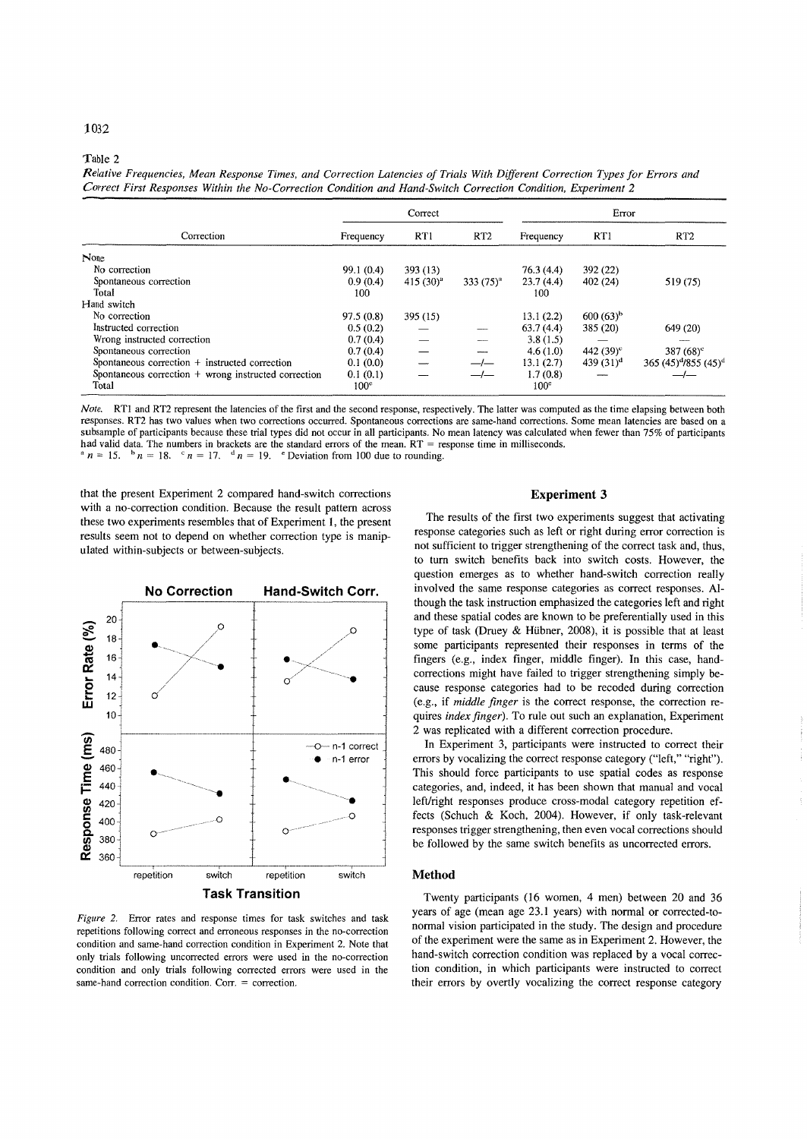# Table 2

*Relative Frequencies, Mean Response Times, and Correction Latencies of Trials With Different Correction Types for Errors and Correct First Responses Within the No-Correction Condition and Hand-Switch Correction Condition, Experiment 2* 

| Correction                                             | Correct          |               |                 | Error            |                    |                                              |
|--------------------------------------------------------|------------------|---------------|-----------------|------------------|--------------------|----------------------------------------------|
|                                                        | Frequency        | RT1           | RT <sub>2</sub> | Frequency        | RT1                | RT <sub>2</sub>                              |
| None                                                   |                  |               |                 |                  |                    |                                              |
| No correction                                          | 99.1(0.4)        | 393 (13)      |                 | 76.3(4.4)        | 392 (22)           |                                              |
| Spontaneous correction                                 | 0.9(0.4)         | $415(30)^{a}$ | $333(75)^{a}$   | 23.7(4.4)        | 402(24)            | 519 (75)                                     |
| Total                                                  | 100              |               |                 | 100              |                    |                                              |
| Hand switch                                            |                  |               |                 |                  |                    |                                              |
| No correction                                          | 97.5(0.8)        | 395 (15)      |                 | 13.1(2.2)        | $600(63)^{b}$      |                                              |
| Instructed correction                                  | 0.5(0.2)         |               |                 | 63.7(4.4)        | 385 (20)           | 649 (20)                                     |
| Wrong instructed correction                            | 0.7(0.4)         |               |                 | 3.8(1.5)         |                    |                                              |
| Spontaneous correction                                 | 0.7(0.4)         |               |                 | 4.6(1.0)         | 442 $(39)^{\circ}$ | 387 $(68)^c$                                 |
| Spontaneous correction $+$ instructed correction       | 0.1(0.0)         |               |                 | 13.1(2.7)        | 439 $(31)^d$       | 365 (45) <sup>d</sup> /855 (45) <sup>d</sup> |
| Spontaneous correction $+$ wrong instructed correction | 0.1(0.1)         |               |                 | 1.7(0.8)         |                    |                                              |
| Total                                                  | 100 <sup>e</sup> |               |                 | 100 <sup>e</sup> |                    |                                              |

*Note.* RTI and RT2 represent the latencies of the first and the second response, respectively. The latter was computed as the time elapsing between both responses. RT2 has two values when two corrections occurred. Spontaneous corrections are same-hand corrections. Some mean latencies are based on a subsample of participants because these trial types did not occur in all participants. No mean latency was calculated when fewer than 75% of participants had valid data. The numbers in brackets are the standard errors of the mean. RT = response time in milliseconds.  $a_n = 15$ .  $b_n = 18$ .  $c_n = 17$ .  $d_n = 19$ . *e* Deviation from 100 due to rounding.

that the present Experiment 2 compared hand-switch corrections with a no-correction condition. Because the result pattern across these two experiments resembles that of Experiment 1, the present results seem not to depend on whether correction type is manipulated within-subjects or between-subjects.



*Figure* 2. Error rates and response times for task switches and task repetitions following correct and erroneous responses in the no-correction condition and same-hand correction condition in Experiment 2. Note that only trials following uncorrected errors were used in the no-correction condition and only trials following corrected errors were used in the same-hand correction condition. Corr. = correction.

# **Experiment 3**

The results of the first two experiments suggest that activating response categories such as left or right during error correction is not sufficient to trigger strengthening of the correct task and, thus, to tum switch benefits back into switch costs. However, the question emerges as to whether hand-switch correction really involved the same response categories as correct responses. Although the task instruction emphasized the categories left and right and these spatial codes are known to be preferentially used in this type of task (Druey & Hubner, 2008), it is possible that at least some participants represented their responses in terms of the fingers (e.g., index finger, middle finger). In this case, handcorrections might have failed to trigger strengthening simply because response categories had to be recoded during correction (e.g., if *middle finger* is the correct response, the correction requires *index finger).* To rule out such an explanation, Experiment 2 was replicated with a different correction procedure.

In Experiment 3, participants were instructed to correct their errors by vocalizing the correct response category ("left," "right"). This should force participants to use spatial codes as response categories, and, indeed, it has been shown that manual and vocal left/right responses produce cross-modal category repetition effects (Schuch & Koch, 2004). However, if only task-relevant responses trigger strengthening, then even vocal corrections should be followed by the same switch benefits as uncorrected errors.

# **Method**

Twenty participants (16 women, 4 men) between 20 and 36 years of age (mean age 23.1 years) with normal or corrected-tonormal vision participated in the study. The design and procedure of the experiment were the same as in Experiment 2. However, the hand-switch correction condition was replaced by a vocal correction condition, in which participants were instructed to correct their errors by overtly vocalizing the correct response category

# 1032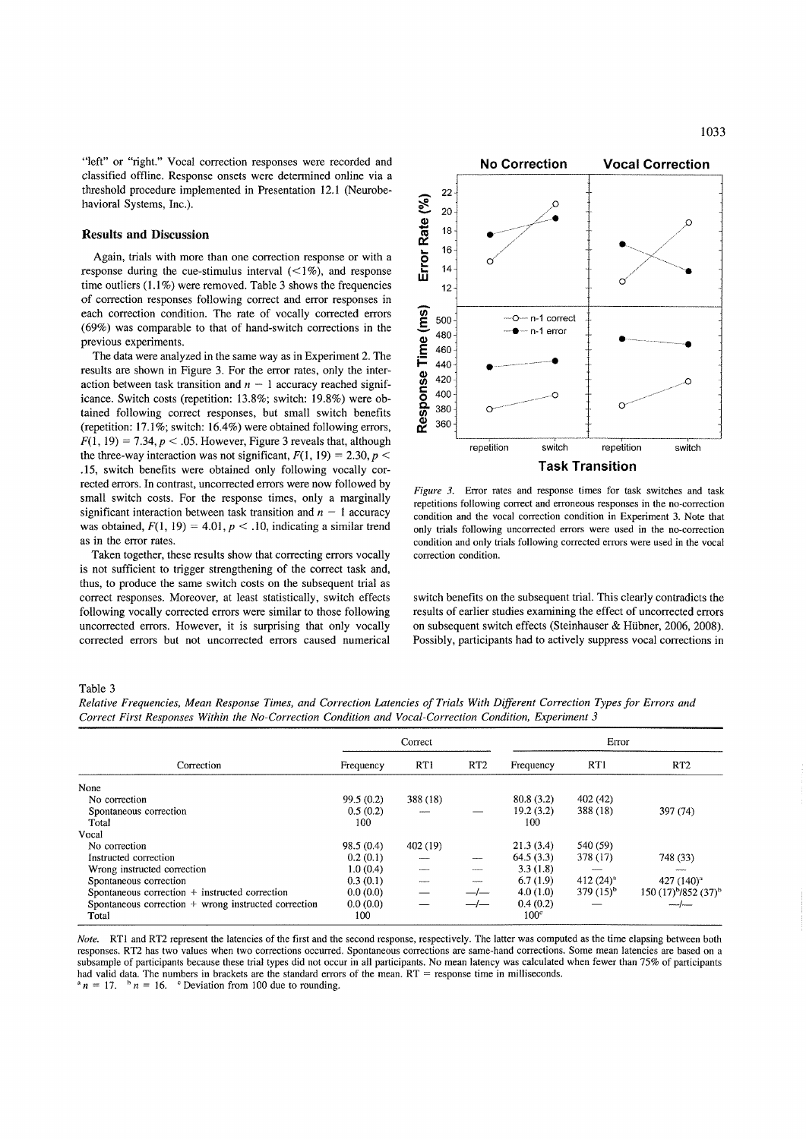"left" or "right." Vocal correction responses were recorded and classified offline. Response onsets were determined online via a threshold procedure implemented in Presentation 12.1 (Neurobehavioral Systems, Inc.).

## **Results and Discussion**

Again, trials with more than one correction response or with a response during the cue-stimulus interval  $\left( \langle 1\% \rangle \right)$ , and response time outliers  $(1.1\%)$  were removed. Table 3 shows the frequencies of correction responses following correct and error responses in each correction condition. The rate of vocally corrected errors (69%) was comparable to that of hand-switch corrections in the previous experiments.

The data were analyzed in the same way as in Experiment 2. The results are shown in Figure 3. For the error rates, only the interaction between task transition and  $n - 1$  accuracy reached significance. Switch costs (repetition: 13.8%; switch: 19.8%) were obtained following correct responses, but small switch benefits (repetition: 17.1%; switch: 16.4%) were obtained following errors,  $F(1, 19) = 7.34$ ,  $p < .05$ . However, Figure 3 reveals that, although the three-way interaction was not significant,  $F(1, 19) = 2.30, p <$ .15, switch benefits were obtained only following vocally corrected errors. **In** contrast, uncorrected errors were now followed by small switch costs. For the response times, only a marginally significant interaction between task transition and  $n - 1$  accuracy was obtained,  $F(1, 19) = 4.01$ ,  $p < .10$ , indicating a similar trend as in the error rates.

Taken together, these results show that correcting errors vocally is not sufficient to trigger strengthening of the correct task and, thus, to produce the same switch costs on the subsequent trial as correct responses. Moreover, at least statistically, switch effects following vocally corrected errors were similar to those following uncorrected errors. However, it is surprising that only vocally corrected errors but not uncorrected errors caused numerical



*Figure* 3. Error rates and response times for task switches and task repetitions following correct and erroneous responses in the no-correction condition and the vocal correction condition in Experiment 3. Note that only trials following uncorrected errors were used in the no-correction condition and only trials following corrected errors were used in the vocal correction condition.

switch benefits on the subsequent trial. This clearly contradicts the results of earlier studies examining the effect of uncorrected errors on subsequent switch effects (Steinhauser & Hübner, 2006, 2008). Possibly, participants had to actively suppress vocal corrections in

#### Table 3

*Relative Frequencies, Mean Response Times, and Correction Latencies of Trials With Different Correction Types for Errors and Correct First Responses Within the No-Correction Condition and Vocal-Correction Condition, Experiment 3* 

|                                                        | Correct   |          |                   | Error            |                |                                              |  |
|--------------------------------------------------------|-----------|----------|-------------------|------------------|----------------|----------------------------------------------|--|
| Correction                                             | Frequency | RT1      | RT <sub>2</sub>   | Frequency        | RT1            | RT <sub>2</sub>                              |  |
| None                                                   |           |          |                   |                  |                |                                              |  |
| No correction                                          | 99.5(0.2) | 388 (18) |                   | 80.8(3.2)        | 402 (42)       |                                              |  |
| Spontaneous correction                                 | 0.5(0.2)  |          |                   | 19.2(3.2)        | 388 (18)       | 397 (74)                                     |  |
| Total                                                  | 100       |          |                   | 100              |                |                                              |  |
| Vocal                                                  |           |          |                   |                  |                |                                              |  |
| No correction                                          | 98.5(0.4) | 402 (19) |                   | 21.3(3.4)        | 540 (59)       |                                              |  |
| Instructed correction                                  | 0.2(0.1)  |          |                   | 64.5(3.3)        | 378 (17)       | 748 (33)                                     |  |
| Wrong instructed correction                            | 1.0(0.4)  |          | <b>Contractor</b> | 3.3(1.8)         |                |                                              |  |
| Spontaneous correction                                 | 0.3(0.1)  |          |                   | 6.7(1.9)         | 412 $(24)^4$   | 427 (140) <sup>a</sup>                       |  |
| Spontaneous correction + instructed correction         | 0.0(0.0)  |          |                   | 4.0(1.0)         | 379 $(15)^{b}$ | 150 (17) <sup>b</sup> /852 (37) <sup>b</sup> |  |
| Spontaneous correction $+$ wrong instructed correction | 0.0(0.0)  |          |                   | 0.4(0.2)         |                | ~~~~/~—                                      |  |
| Total                                                  | 100       |          |                   | 100 <sup>c</sup> |                |                                              |  |

*Note.* RT1 and RT2 represent the latencies of the first and the second response, respectively. The latter was computed as the time elapsing between both responses. RT2 has two values when two corrections occurred. Spontaneous corrections are same-hand corrections. Some mean latencies are based on a subsample of participants because these trial types did not occur in all participants. No mean latency was calculated when fewer than 75% of participants had valid data. The numbers in brackets are the standard errors of the mean,  $RT =$  response time in milliseconds.<br><sup>a</sup> $n = 17$ ,  $\frac{b}{n}n = 16$ , <sup>c</sup> Deviation from 100 due to rounding.  $n = 16$ . <sup>c</sup> Deviation from 100 due to rounding.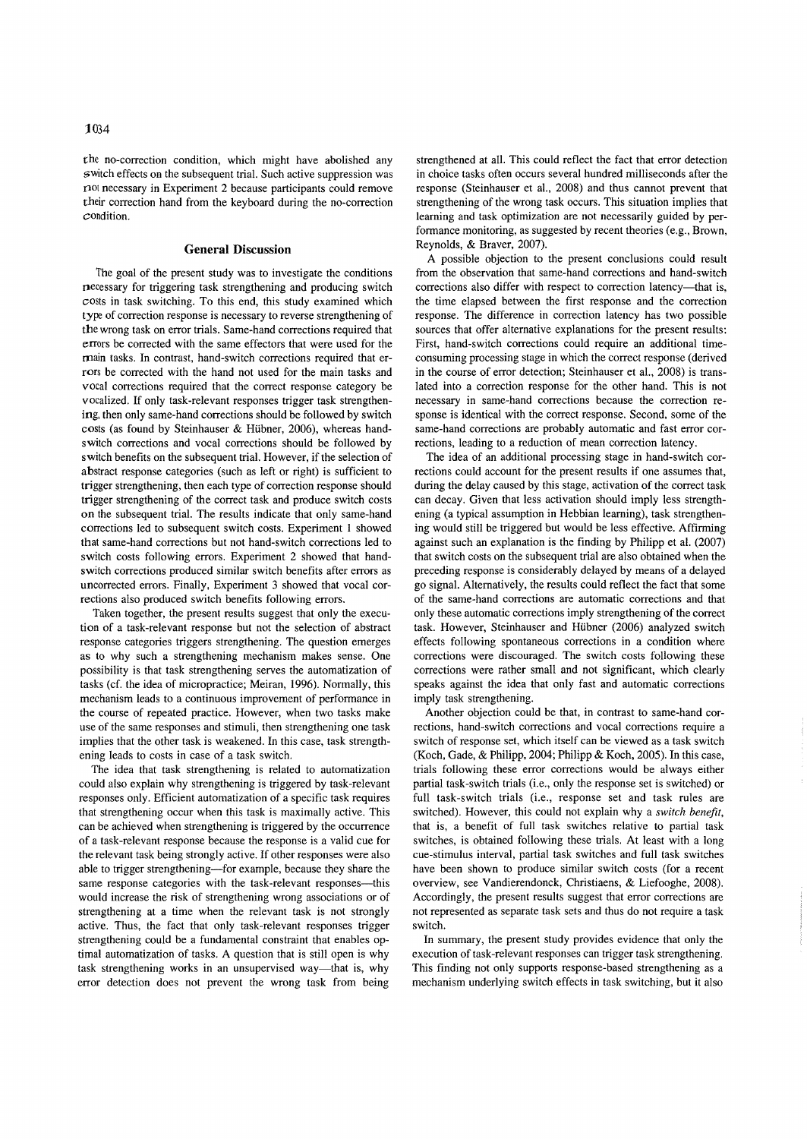the no-correction condition, which might have abolished any switch effects on the subsequent trial. Such active suppression was  $n$ <sup>ot</sup> necessary in Experiment 2 because participants could remove their correction hand from the keyboard during the no-correction condition.

#### **General Discussion**

The goal of the present study was to investigate the conditions necessary for triggering task strengthening and producing switch costs in task switching. To this end, this study examined which type of correction response is necessary to reverse strengthening of the wrong task on error trials. Same-hand corrections required that errors be corrected with the same effectors that were used for the main tasks. In contrast, hand-switch corrections required that errors be corrected with the hand not used for the main tasks and vocal corrections required that the correct response category be vocalized. If only task-relevant responses trigger task strengthening, then only same-hand corrections should be followed by switch costs (as found by Steinhauser & Hübner, 2006), whereas handswitch corrections and vocal corrections should be followed by switch benefits on the subsequent trial. However, if the selection of abstract response categories (such as left or right) is sufficient to trigger strengthening, then each type of correction response should trigger strengthening of the correct task and produce switch costs on the subsequent trial. The results indicate that only same-hand corrections led to subsequent switch costs. Experiment I showed that same-hand corrections but not hand-switch corrections led to switch costs following errors. Experiment 2 showed that handswitch corrections produced similar switch benefits after errors as uncorrected errors. Finally, Experiment 3 showed that vocal corrections also produced switch benefits following errors.

Taken together, the present results suggest that only the execution of a task-relevant response but not the selection of abstract response categories triggers strengthening. The question emerges as to why such a strengthening mechanism makes sense. One possibility is that task strengthening serves the automatization of tasks (cf. the idea of micropractice; Meiran, 1996). Normally, this mechanism leads to a continuous improvement of performance in the course of repeated practice. However, when two tasks make use of the same responses and stimuli, then strengthening one task implies that the other task is weakened. In this case, task strengthening leads to costs in case of a task switch.

The idea that task strengthening is related to automatization could also explain why strengthening is triggered by task-relevant responses only. Efficient automatization of a specific task requires that strengthening occur when this task is maximally active. This can be achieved when strengthening is triggered by the occurrence of a task-relevant response because the response is a valid cue for the relevant task being strongly active. If other responses were also able to trigger strengthening-for example, because they share the same response categories with the task-relevant responses-this would increase the risk of strengthening wrong associations or of strengthening at a time when the relevant task is not strongly active. Thus, the fact that only task-relevant responses trigger strengthening could be a fundamental constraint that enables optimal automatization of tasks. A question that is still open is why task strengthening works in an unsupervised way—that is, why error detection does not prevent the wrong task from being

strengthened at all. This could reflect the fact that error detection in choice tasks often occurs several hundred milliseconds after the response (Steinhauser et aI., 2008) and thus cannot prevent that strengthening of the wrong task occurs. This situation implies that learning and task optimization are not necessarily guided by performance monitoring, as suggested by recent theories (e.g., Brown, Reynolds, & Braver, 2007).

A possible objection to the present conclusions could result from the observation that same-hand corrections and hand-switch corrections also differ with respect to correction latency-that is, the time elapsed between the first response and the correction response. The difference in correction latency has two possible sources that offer alternative explanations for the present results: First, hand-switch corrections could require an additional timeconsuming processing stage in which the correct response (derived in the course of error detection; Steinhauser et aI., 2008) is translated into a correction response for the other hand. This is not necessary in same-hand corrections because the correction response is identical with the correct response. Second, some of the same-hand corrections are probably automatic and fast error corrections, leading to a reduction of mean correction latency.

The idea of an additional processing stage in hand-switch corrections could account for the present results if one assumes that, during the delay caused by this stage, activation of the correct task can decay. Given that less activation should imply less strengthening (a typical assumption in Hebbian learning), task strengthening would still be triggered but would be less effective. Affirming against such an explanation is the finding by Philipp et al. (2007) that switch costs on the subsequent trial are also obtained when the preceding response is considerably delayed by means of a delayed go signal. Alternatively, the results could reflect the fact that some of the same-hand corrections are automatic corrections and that only these automatic corrections imply strengthening of the correct task. However, Steinhauser and Hübner (2006) analyzed switch effects following spontaneous corrections in a condition where corrections were discouraged. The switch costs following these corrections were rather small and not significant, which clearly speaks against the idea that only fast and automatic corrections imply task strengthening.

Another objection could be that, in contrast to same-hand corrections, hand-switch corrections and vocal corrections require a switch of response set, which itself can be viewed as a task switch (Koch, Gade, & Philipp, 2004; Philipp & Koch, 2005). In this case, trials following these error corrections would be always either partial task-switch trials (i.e., only the response set is switched) or full task-switch trials (i.e., response set and task rules are switched). However, this could not explain why a *switch benefit,*  that is, a benefit of full task switches relative to partial task switches, is obtained following these trials. At least with a long cue-stimulus interval, partial task switches and full task switches have been shown to produce similar switch costs (for a recent overview, see Vandierendonck, Christiaens, & Liefooghe, 2008). Accordingly, the present results suggest that error corrections are not represented as separate task sets and thus do not require a task switch.

In summary, the present study provides evidence that only the execution of task-relevant responses can trigger task strengthening. This finding not only supports response-based strengthening as a mechanism underlying switch effects in task switching, but it also